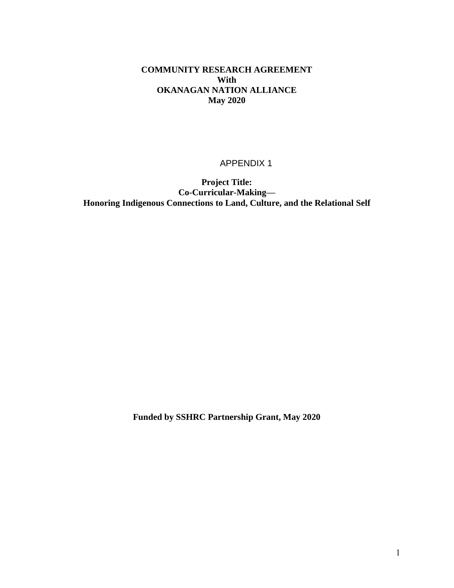### **COMMUNITY RESEARCH AGREEMENT With OKANAGAN NATION ALLIANCE May 2020**

#### APPENDIX 1

**Project Title: Co-Curricular-Making— Honoring Indigenous Connections to Land, Culture, and the Relational Self**

**Funded by SSHRC Partnership Grant, May 2020**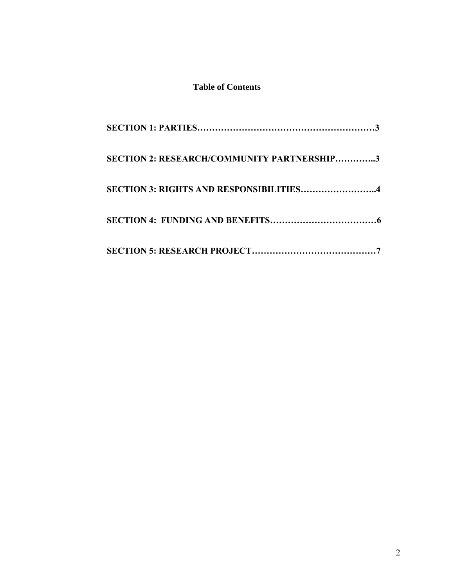# **Table of Contents**

| <b>SECTION 2: RESEARCH/COMMUNITY PARTNERSHIP3</b> |
|---------------------------------------------------|
| <b>SECTION 3: RIGHTS AND RESPONSIBILITIES4</b>    |
|                                                   |
|                                                   |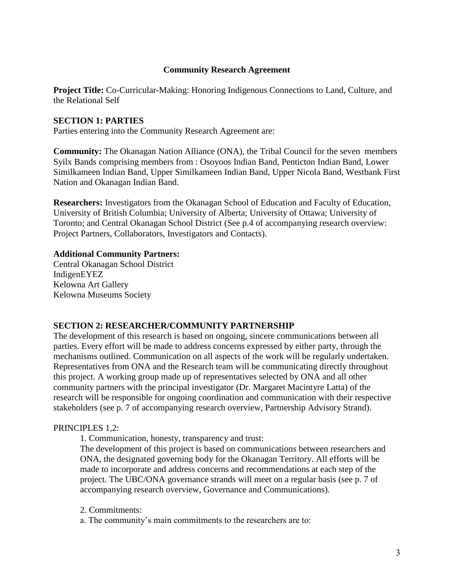### **Community Research Agreement**

**Project Title:** Co-Curricular-Making: Honoring Indigenous Connections to Land, Culture, and the Relational Self

### **SECTION 1: PARTIES**

Parties entering into the Community Research Agreement are:

**Community:** The Okanagan Nation Alliance (ONA), the Tribal Council for the seven members Syilx Bands comprising members from : Osoyoos Indian Band, Penticton Indian Band, Lower Similkameen Indian Band, Upper Similkameen Indian Band, Upper Nicola Band, Westbank First Nation and Okanagan Indian Band.

**Researchers:** Investigators from the Okanagan School of Education and Faculty of Education, University of British Columbia; University of Alberta; University of Ottawa; University of Toronto; and Central Okanagan School District (See p.4 of accompanying research overview: Project Partners, Collaborators, Investigators and Contacts).

#### **Additional Community Partners:**

Central Okanagan School District IndigenEYEZ Kelowna Art Gallery Kelowna Museums Society

#### **SECTION 2: RESEARCHER/COMMUNITY PARTNERSHIP**

The development of this research is based on ongoing, sincere communications between all parties. Every effort will be made to address concerns expressed by either party, through the mechanisms outlined. Communication on all aspects of the work will be regularly undertaken. Representatives from ONA and the Research team will be communicating directly throughout this project. A working group made up of representatives selected by ONA and all other community partners with the principal investigator (Dr. Margaret Macintyre Latta) of the research will be responsible for ongoing coordination and communication with their respective stakeholders (see p. 7 of accompanying research overview, Partnership Advisory Strand).

#### PRINCIPLES 1,2:

1. Communication, honesty, transparency and trust:

The development of this project is based on communications between researchers and ONA, the designated governing body for the Okanagan Territory. All efforts will be made to incorporate and address concerns and recommendations at each step of the project. The UBC/ONA governance strands will meet on a regular basis (see p. 7 of accompanying research overview, Governance and Communications).

2. Commitments:

a. The community's main commitments to the researchers are to: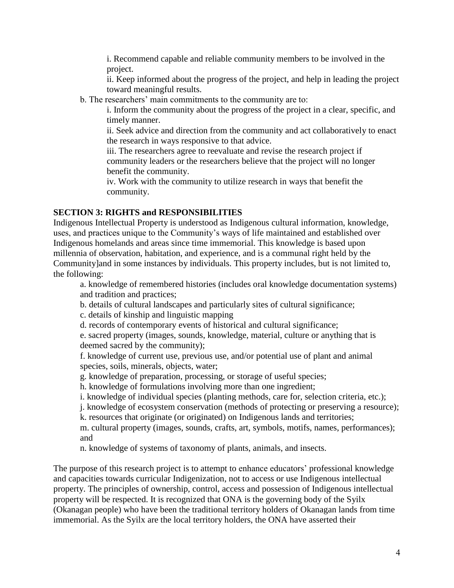i. Recommend capable and reliable community members to be involved in the project.

ii. Keep informed about the progress of the project, and help in leading the project toward meaningful results.

b. The researchers' main commitments to the community are to:

i. Inform the community about the progress of the project in a clear, specific, and timely manner.

ii. Seek advice and direction from the community and act collaboratively to enact the research in ways responsive to that advice.

iii. The researchers agree to reevaluate and revise the research project if community leaders or the researchers believe that the project will no longer benefit the community.

iv. Work with the community to utilize research in ways that benefit the community.

# **SECTION 3: RIGHTS and RESPONSIBILITIES**

Indigenous Intellectual Property is understood as Indigenous cultural information, knowledge, uses, and practices unique to the Community's ways of life maintained and established over Indigenous homelands and areas since time immemorial. This knowledge is based upon millennia of observation, habitation, and experience, and is a communal right held by the Community]and in some instances by individuals. This property includes, but is not limited to, the following:

a. knowledge of remembered histories (includes oral knowledge documentation systems) and tradition and practices;

b. details of cultural landscapes and particularly sites of cultural significance;

c. details of kinship and linguistic mapping

d. records of contemporary events of historical and cultural significance;

e. sacred property (images, sounds, knowledge, material, culture or anything that is deemed sacred by the community);

f. knowledge of current use, previous use, and/or potential use of plant and animal species, soils, minerals, objects, water;

g. knowledge of preparation, processing, or storage of useful species;

h. knowledge of formulations involving more than one ingredient;

i. knowledge of individual species (planting methods, care for, selection criteria, etc.);

j. knowledge of ecosystem conservation (methods of protecting or preserving a resource);

k. resources that originate (or originated) on Indigenous lands and territories;

m. cultural property (images, sounds, crafts, art, symbols, motifs, names, performances); and

n. knowledge of systems of taxonomy of plants, animals, and insects.

The purpose of this research project is to attempt to enhance educators' professional knowledge and capacities towards curricular Indigenization, not to access or use Indigenous intellectual property. The principles of ownership, control, access and possession of Indigenous intellectual property will be respected. It is recognized that ONA is the governing body of the Syilx (Okanagan people) who have been the traditional territory holders of Okanagan lands from time immemorial. As the Syilx are the local territory holders, the ONA have asserted their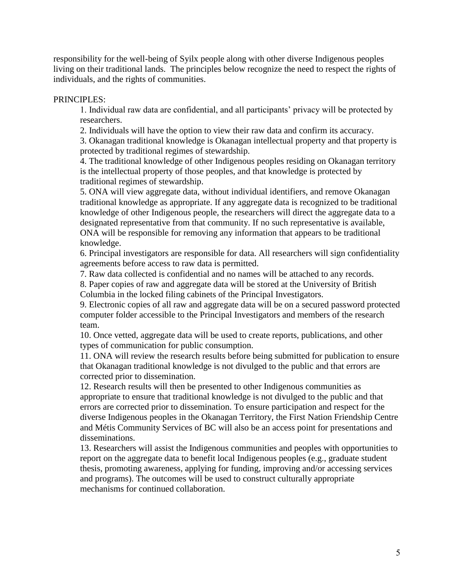responsibility for the well-being of Syilx people along with other diverse Indigenous peoples living on their traditional lands. The principles below recognize the need to respect the rights of individuals, and the rights of communities.

PRINCIPLES:

1. Individual raw data are confidential, and all participants' privacy will be protected by researchers.

2. Individuals will have the option to view their raw data and confirm its accuracy.

3. Okanagan traditional knowledge is Okanagan intellectual property and that property is protected by traditional regimes of stewardship.

4. The traditional knowledge of other Indigenous peoples residing on Okanagan territory is the intellectual property of those peoples, and that knowledge is protected by traditional regimes of stewardship.

5. ONA will view aggregate data, without individual identifiers, and remove Okanagan traditional knowledge as appropriate. If any aggregate data is recognized to be traditional knowledge of other Indigenous people, the researchers will direct the aggregate data to a designated representative from that community. If no such representative is available, ONA will be responsible for removing any information that appears to be traditional knowledge.

6. Principal investigators are responsible for data. All researchers will sign confidentiality agreements before access to raw data is permitted.

7. Raw data collected is confidential and no names will be attached to any records.

8. Paper copies of raw and aggregate data will be stored at the University of British Columbia in the locked filing cabinets of the Principal Investigators.

9. Electronic copies of all raw and aggregate data will be on a secured password protected computer folder accessible to the Principal Investigators and members of the research team.

10. Once vetted, aggregate data will be used to create reports, publications, and other types of communication for public consumption.

11. ONA will review the research results before being submitted for publication to ensure that Okanagan traditional knowledge is not divulged to the public and that errors are corrected prior to dissemination.

12. Research results will then be presented to other Indigenous communities as appropriate to ensure that traditional knowledge is not divulged to the public and that errors are corrected prior to dissemination. To ensure participation and respect for the diverse Indigenous peoples in the Okanagan Territory, the First Nation Friendship Centre and Métis Community Services of BC will also be an access point for presentations and disseminations.

13. Researchers will assist the Indigenous communities and peoples with opportunities to report on the aggregate data to benefit local Indigenous peoples (e.g., graduate student thesis, promoting awareness, applying for funding, improving and/or accessing services and programs). The outcomes will be used to construct culturally appropriate mechanisms for continued collaboration.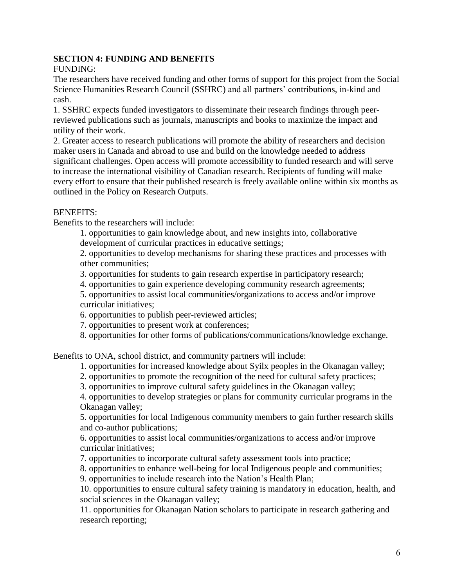# **SECTION 4: FUNDING AND BENEFITS**

FUNDING:

The researchers have received funding and other forms of support for this project from the Social Science Humanities Research Council (SSHRC) and all partners' contributions, in-kind and cash.

1. SSHRC expects funded investigators to disseminate their research findings through peerreviewed publications such as journals, manuscripts and books to maximize the impact and utility of their work.

2. Greater access to research publications will promote the ability of researchers and decision maker users in Canada and abroad to use and build on the knowledge needed to address significant challenges. Open access will promote accessibility to funded research and will serve to increase the international visibility of Canadian research. Recipients of funding will make every effort to ensure that their published research is freely available online within six months as outlined in the Policy on Research Outputs.

# BENEFITS:

Benefits to the researchers will include:

1. opportunities to gain knowledge about, and new insights into, collaborative

development of curricular practices in educative settings;

2. opportunities to develop mechanisms for sharing these practices and processes with other communities;

- 3. opportunities for students to gain research expertise in participatory research;
- 4. opportunities to gain experience developing community research agreements;

5. opportunities to assist local communities/organizations to access and/or improve curricular initiatives;

6. opportunities to publish peer-reviewed articles;

- 7. opportunities to present work at conferences;
- 8. opportunities for other forms of publications/communications/knowledge exchange.

Benefits to ONA, school district, and community partners will include:

1. opportunities for increased knowledge about Syilx peoples in the Okanagan valley;

2. opportunities to promote the recognition of the need for cultural safety practices;

3. opportunities to improve cultural safety guidelines in the Okanagan valley;

4. opportunities to develop strategies or plans for community curricular programs in the Okanagan valley;

5. opportunities for local Indigenous community members to gain further research skills and co-author publications;

6. opportunities to assist local communities/organizations to access and/or improve curricular initiatives;

7. opportunities to incorporate cultural safety assessment tools into practice;

8. opportunities to enhance well-being for local Indigenous people and communities;

9. opportunities to include research into the Nation's Health Plan;

10. opportunities to ensure cultural safety training is mandatory in education, health, and social sciences in the Okanagan valley;

11. opportunities for Okanagan Nation scholars to participate in research gathering and research reporting;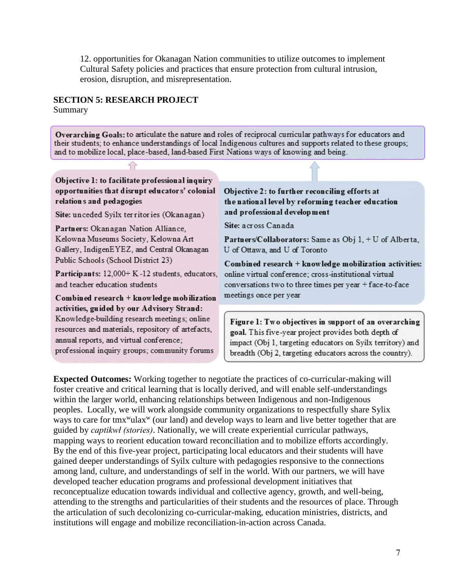12. opportunities for Okanagan Nation communities to utilize outcomes to implement Cultural Safety policies and practices that ensure protection from cultural intrusion, erosion, disruption, and misrepresentation.

## **SECTION 5: RESEARCH PROJECT**

Summary

Overarching Goals: to articulate the nature and roles of reciprocal curricular pathways for educators and their students; to enhance understandings of local Indigenous cultures and supports related to these groups; and to mobilize local, place-based, land-based First Nations ways of knowing and being.

Objective 1: to facilitate professional inquiry opportunities that disrupt educators' colonial relations and pedagogies

Site: unceded Syilx territories (Okanagan)

Partners: Okanagan Nation Alliance. Kelowna Museums Society, Kelowna Art Gallery, IndigenEYEZ, and Central Okanagan Public Schools (School District 23)

Participants: 12,000+ K-12 students, educators, and teacher education students

Combined research + knowledge mobilization activities, guided by our Advisory Strand: Knowledge-building research meetings; online resources and materials, repository of artefacts, annual reports, and virtual conference;

professional inquiry groups; community forums

#### Objective 2: to further reconciling efforts at the national level by reforming teacher education and professional development

Site: across Canada

Partners/Collaborators: Same as Obj 1, + U of Alberta, U of Ottawa, and U of Toronto

 $Combined research + knowledge mobilization activities:$ online virtual conference; cross-institutional virtual conversations two to three times per year + face-to-face meetings once per year

Figure 1: Two objectives in support of an overarching goal. This five-year project provides both depth of impact (Obj 1, targeting educators on Syilx territory) and breadth (Obj 2, targeting educators across the country).

**Expected Outcomes:** Working together to negotiate the practices of co-curricular-making will foster creative and critical learning that is locally derived, and will enable self-understandings within the larger world, enhancing relationships between Indigenous and non-Indigenous peoples. Locally, we will work alongside community organizations to respectfully share Sylix ways to care for tmx<sup>w</sup>ulax<sup>w</sup> (our land) and develop ways to learn and live better together that are guided by *captikwł (stories)*. Nationally, we will create experiential curricular pathways, mapping ways to reorient education toward reconciliation and to mobilize efforts accordingly. By the end of this five-year project, participating local educators and their students will have gained deeper understandings of Syilx culture with pedagogies responsive to the connections among land, culture, and understandings of self in the world. With our partners, we will have developed teacher education programs and professional development initiatives that reconceptualize education towards individual and collective agency, growth, and well-being, attending to the strengths and particularities of their students and the resources of place. Through the articulation of such decolonizing co-curricular-making, education ministries, districts, and institutions will engage and mobilize reconciliation-in-action across Canada.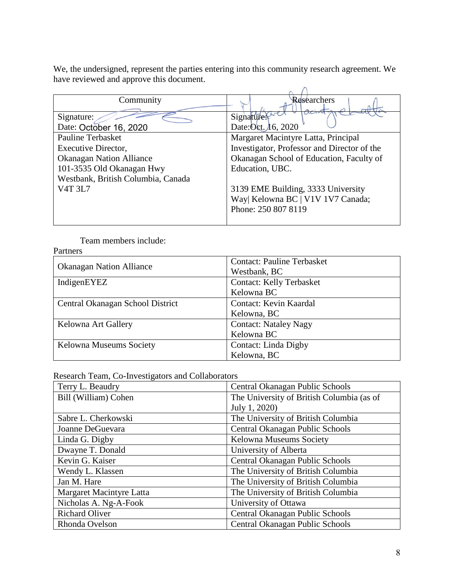We, the undersigned, represent the parties entering into this community research agreement. We have reviewed and approve this document.

| Community                          | Researchers                                 |
|------------------------------------|---------------------------------------------|
|                                    |                                             |
| Signature:                         | Signature <sup>3</sup>                      |
| Date: October 16, 2020             | Date: Oct. 16, 2020                         |
| <b>Pauline Terbasket</b>           | Margaret Macintyre Latta, Principal         |
| Executive Director,                | Investigator, Professor and Director of the |
| <b>Okanagan Nation Alliance</b>    | Okanagan School of Education, Faculty of    |
| 101-3535 Old Okanagan Hwy          | Education, UBC.                             |
| Westbank, British Columbia, Canada |                                             |
| V <sub>4T</sub> 3L <sub>7</sub>    | 3139 EME Building, 3333 University          |
|                                    | Way  Kelowna BC   V1V 1V7 Canada;           |
|                                    | Phone: 250 807 8119                         |
|                                    |                                             |

Team members include:

| Partners                         |                                   |
|----------------------------------|-----------------------------------|
| <b>Okanagan Nation Alliance</b>  | <b>Contact: Pauline Terbasket</b> |
|                                  | Westbank, BC                      |
| IndigenEYEZ                      | <b>Contact: Kelly Terbasket</b>   |
|                                  | Kelowna BC                        |
| Central Okanagan School District | Contact: Kevin Kaardal            |
|                                  | Kelowna, BC                       |
| Kelowna Art Gallery              | <b>Contact: Nataley Nagy</b>      |
|                                  | Kelowna BC                        |
| Kelowna Museums Society          | Contact: Linda Digby              |
|                                  | Kelowna, BC                       |

Research Team, Co-Investigators and Collaborators

| Terry L. Beaudry         | Central Okanagan Public Schools           |
|--------------------------|-------------------------------------------|
| Bill (William) Cohen     | The University of British Columbia (as of |
|                          | July 1, 2020)                             |
| Sabre L. Cherkowski      | The University of British Columbia        |
| Joanne DeGuevara         | Central Okanagan Public Schools           |
| Linda G. Digby           | Kelowna Museums Society                   |
| Dwayne T. Donald         | University of Alberta                     |
| Kevin G. Kaiser          | Central Okanagan Public Schools           |
| Wendy L. Klassen         | The University of British Columbia        |
| Jan M. Hare              | The University of British Columbia        |
| Margaret Macintyre Latta | The University of British Columbia        |
| Nicholas A. Ng-A-Fook    | University of Ottawa                      |
| <b>Richard Oliver</b>    | Central Okanagan Public Schools           |
| Rhonda Ovelson           | Central Okanagan Public Schools           |